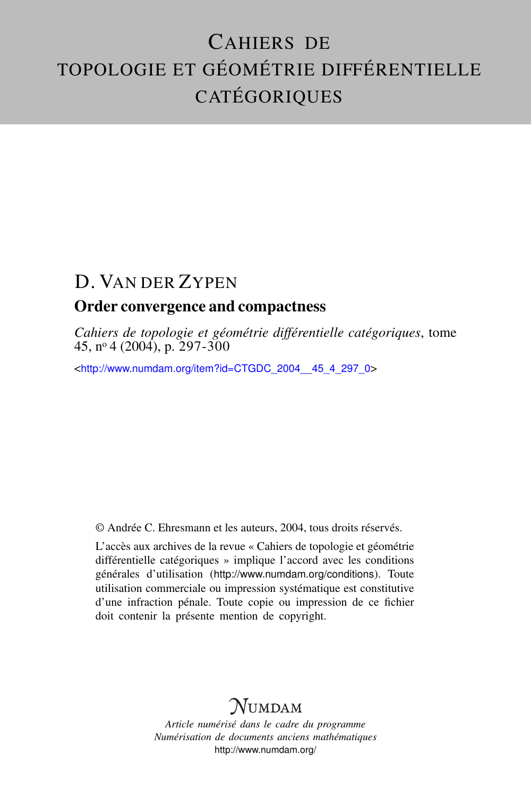# CAHIERS DE TOPOLOGIE ET GÉOMÉTRIE DIFFÉRENTIELLE CATÉGORIQUES

# D. VAN DER ZYPEN

#### Order convergence and compactness

*Cahiers de topologie et géométrie différentielle catégoriques*, tome 45, nº 4 (2004), p. 297-300

<[http://www.numdam.org/item?id=CTGDC\\_2004\\_\\_45\\_4\\_297\\_0](http://www.numdam.org/item?id=CTGDC_2004__45_4_297_0)>

© Andrée C. Ehresmann et les auteurs, 2004, tous droits réservés.

L'accès aux archives de la revue « Cahiers de topologie et géométrie différentielle catégoriques » implique l'accord avec les conditions générales d'utilisation (<http://www.numdam.org/conditions>). Toute utilisation commerciale ou impression systématique est constitutive d'une infraction pénale. Toute copie ou impression de ce fichier doit contenir la présente mention de copyright.

## **NUMDAM**

*Article numérisé dans le cadre du programme Numérisation de documents anciens mathématiques* <http://www.numdam.org/>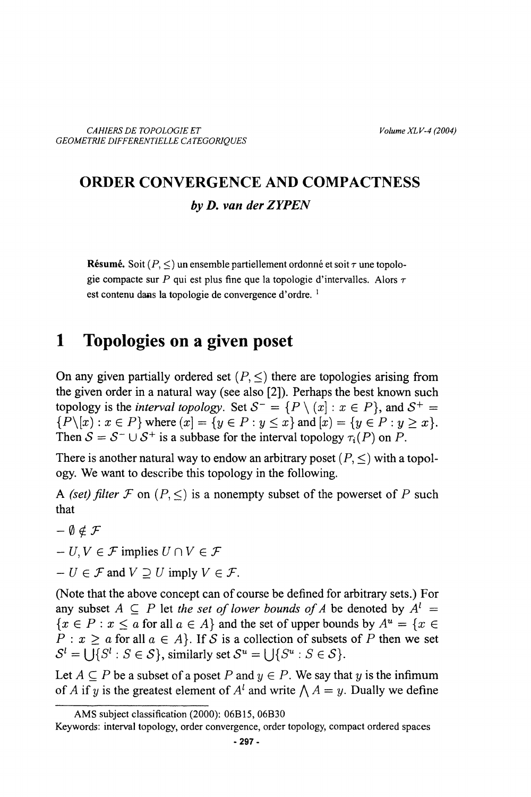### **ORDER CONVERGENCE AND COMPACTNESS** by D. van der ZYPEN

**Résumé.** Soit  $(P, \leq)$  un ensemble partiellement ordonné et soit  $\tau$  une topologie compacte sur P qui est plus fine que la topologie d'intervalles. Alors  $\tau$ est contenu dans la topologie de convergence d'ordre.<sup>1</sup>

#### 1 Topologies on a given poset

On any given partially ordered set  $(P, \leq)$  there are topologies arising from the given order in a natural way (see also [2]). Perhaps the best known such topology is the *interval topology*. Set  $S^- = \{P \setminus \{x\} : x \in P\}$ , and  $S^+ =$  $\{P\}{x): x \in P\}$  where  $(x) = \{y \in P : y \le x\}$  and  $[x) = \{y \in P : y \ge x\}.$ Then  $S = S^{-} \cup S^{+}$  is a subbase for the interval topology  $\tau_i(P)$  on P.

There is another natural way to endow an arbitrary poset  $(P, \leq)$  with a topology. We want to describe this topology in the following.

A (set) filter F on  $(P, \leq)$  is a nonempty subset of the powerset of P such that

 $-\emptyset \notin \mathcal{F}$ 

 $-U, V \in \mathcal{F}$  implies  $U \cap V \in \mathcal{F}$ 

 $-U \in \mathcal{F}$  and  $V \supset U$  imply  $V \in \mathcal{F}$ .

(Note that the above concept can of course be defined for arbitrary sets.) For any subset  $A \subseteq P$  let the set of lower bounds of A be denoted by  $A^l =$  $\{x \in P : x \le a \text{ for all } a \in A\}$  and the set of upper bounds by  $A^u = \{x \in A\}$  $P: x \ge a$  for all  $a \in A$ . If S is a collection of subsets of P then we set  $S^l = \iint_S S^l : S \in S$ , similarly set  $S^u = \iint_S S^u : S \in S$ .

Let  $A \subset P$  be a subset of a poset P and  $y \in P$ . We say that y is the infimum of A if y is the greatest element of  $A<sup>l</sup>$  and write  $\bigwedge A = y$ . Dually we define

AMS subject classification (2000): 06B15, 06B30

Keywords: interval topology, order convergence, order topology, compact ordered spaces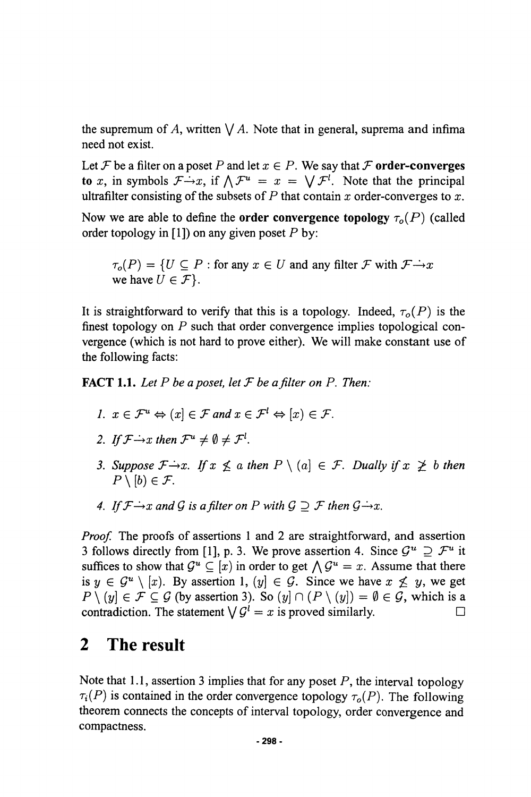the supremum of A, written  $\bigvee A$ . Note that in general, suprema and infima need not exist.

Let F be a filter on a poset P and let  $x \in P$ . We say that F order-converges to x, in symbols  $\mathcal{F} \rightarrow x$ , if  $\Lambda \mathcal{F}^u = x = \bigvee \mathcal{F}^l$ . Note that the principal ultrafilter consisting of the subsets of  $P$  that contain  $x$  order-converges to  $x$ .

Now we are able to define the **order convergence topology**  $\tau_o(P)$  (called order topology in [1]) on any given poset  $P$  by:

 $\tau_o(P) = \{U \subseteq P : \text{for any } x \in U \text{ and any filter } \mathcal{F} \text{ with } \mathcal{F} \rightarrow x\}$ we have  $U \in \mathcal{F}$ .

It is straightforward to verify that this is a topology. Indeed,  $\tau_o(P)$  is the finest topology on  $P$  such that order convergence implies topological convergence (which is not hard to prove either). We will make constant use of the following facts:

**FACT 1.1.** Let P be a poset, let F be a filter on P. Then:

- 1.  $x \in \mathcal{F}^u \Leftrightarrow (x) \in \mathcal{F}$  and  $x \in \mathcal{F}^l \Leftrightarrow (x) \in \mathcal{F}$ .
- 2. If  $\mathcal{F} \rightarrow x$  then  $\mathcal{F}^u \neq \emptyset \neq \mathcal{F}^l$ .
- 3. Suppose  $\mathcal{F} \rightarrow x$ . If  $x \not\leq a$  then  $P \setminus \{a\} \in \mathcal{F}$ . Dually if  $x \not\geq b$  then  $P \setminus [b] \in \mathcal{F}$ .
- 4. If  $\mathcal{F} \rightarrow x$  and G is a filter on P with  $G \supset \mathcal{F}$  then  $G \rightarrow x$ .

*Proof.* The proofs of assertions 1 and 2 are straightforward, and assertion 3 follows directly from [1], p. 3. We prove assertion 4. Since  $\mathcal{G}^u \supseteq \mathcal{F}^u$  it suffices to show that  $\mathcal{G}^u \subseteq [x]$  in order to get  $\bigwedge \mathcal{G}^u = x$ . Assume that there is  $y \in \mathcal{G}^u \setminus [x]$ . By assertion 1,  $(y) \in \mathcal{G}$ . Since we have  $x \not\leq y$ , we get  $P \setminus (y] \in \mathcal{F} \subseteq \mathcal{G}$  (by assertion 3). So  $(y] \cap (P \setminus (y]) = \emptyset \in \mathcal{G}$ , which is a contradiction. The statement  $\bigvee G^i = x$  is proved similarly.  $\Box$ 

#### $\mathbf{2}$ **The result**

Note that 1.1, assertion 3 implies that for any poset  $P$ , the interval topology  $\tau_i(P)$  is contained in the order convergence topology  $\tau_o(P)$ . The following theorem connects the concepts of interval topology, order convergence and compactness.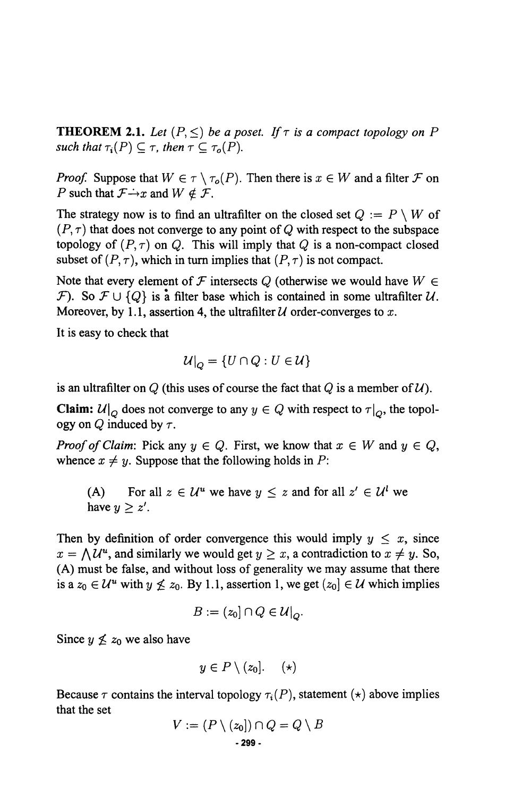**THEOREM 2.1.** Let  $(P, \leq)$  be a poset. If  $\tau$  is a compact topology on P such that  $\tau_i(P) \subseteq \tau$ , then  $\tau \subseteq \tau_o(P)$ .

*Proof.* Suppose that  $W \in \tau \setminus \tau_o(P)$ . Then there is  $x \in W$  and a filter F on P such that  $\mathcal{F} \rightarrow x$  and  $W \notin \mathcal{F}$ .

The strategy now is to find an ultrafilter on the closed set  $Q := P \setminus W$  of  $(P, \tau)$  that does not converge to any point of Q with respect to the subspace topology of  $(P, \tau)$  on Q. This will imply that Q is a non-compact closed subset of  $(P, \tau)$ , which in turn implies that  $(P, \tau)$  is not compact.

Note that every element of F intersects Q (otherwise we would have  $W \in$ F). So  $\mathcal{F} \cup \{Q\}$  is a filter base which is contained in some ultrafilter U. Moreover, by 1.1, assertion 4, the ultrafilter  $U$  order-converges to x.

It is easy to check that

$$
\mathcal{U}|_{\Omega} = \{U \cap Q : U \in \mathcal{U}\}
$$

is an ultrafilter on Q (this uses of course the fact that Q is a member of  $U$ ).

**Claim:**  $\mathcal{U}|_{Q}$  does not converge to any  $y \in Q$  with respect to  $\tau|_{Q}$ , the topology on Q induced by  $\tau$ .

*Proof of Claim:* Pick any  $y \in Q$ . First, we know that  $x \in W$  and  $y \in Q$ , whence  $x \neq y$ . Suppose that the following holds in P:

For all  $z \in \mathcal{U}^u$  we have  $y \leq z$  and for all  $z' \in \mathcal{U}^l$  we  $(A)$ have  $y \geq z'$ .

Then by definition of order convergence this would imply  $y \leq x$ , since  $x = \bigwedge \mathcal{U}^u$ , and similarly we would get  $y \geq x$ , a contradiction to  $x \neq y$ . So, (A) must be false, and without loss of generality we may assume that there is a  $z_0 \in \mathcal{U}^u$  with  $y \nleq z_0$ . By 1.1, assertion 1, we get  $(z_0) \in \mathcal{U}$  which implies

$$
B := (z_0] \cap Q \in \mathcal{U}|_{Q}.
$$

Since  $y \nleq z_0$  we also have

$$
y\in P\setminus(z_0].\quad \ (\star)
$$

Because  $\tau$  contains the interval topology  $\tau_i(P)$ , statement (\*) above implies that the set

$$
V := (P \setminus (z_0]) \cap Q = Q \setminus B
$$
  
- 299 -